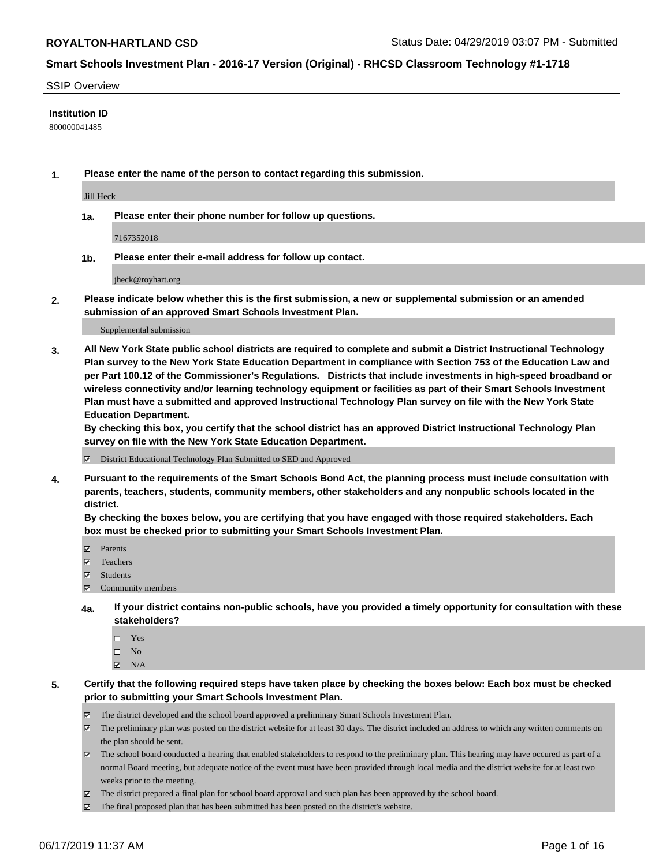#### SSIP Overview

#### **Institution ID**

800000041485

**1. Please enter the name of the person to contact regarding this submission.**

Jill Heck

**1a. Please enter their phone number for follow up questions.**

7167352018

**1b. Please enter their e-mail address for follow up contact.**

jheck@royhart.org

**2. Please indicate below whether this is the first submission, a new or supplemental submission or an amended submission of an approved Smart Schools Investment Plan.**

#### Supplemental submission

**3. All New York State public school districts are required to complete and submit a District Instructional Technology Plan survey to the New York State Education Department in compliance with Section 753 of the Education Law and per Part 100.12 of the Commissioner's Regulations. Districts that include investments in high-speed broadband or wireless connectivity and/or learning technology equipment or facilities as part of their Smart Schools Investment Plan must have a submitted and approved Instructional Technology Plan survey on file with the New York State Education Department.** 

**By checking this box, you certify that the school district has an approved District Instructional Technology Plan survey on file with the New York State Education Department.**

District Educational Technology Plan Submitted to SED and Approved

**4. Pursuant to the requirements of the Smart Schools Bond Act, the planning process must include consultation with parents, teachers, students, community members, other stakeholders and any nonpublic schools located in the district.** 

**By checking the boxes below, you are certifying that you have engaged with those required stakeholders. Each box must be checked prior to submitting your Smart Schools Investment Plan.**

- Parents
- Teachers
- Students
- Community members
- **4a. If your district contains non-public schools, have you provided a timely opportunity for consultation with these stakeholders?**
	- □ Yes
	- $\square$  No
	- $N/A$
- **5. Certify that the following required steps have taken place by checking the boxes below: Each box must be checked prior to submitting your Smart Schools Investment Plan.**
	- The district developed and the school board approved a preliminary Smart Schools Investment Plan.
	- $\boxtimes$  The preliminary plan was posted on the district website for at least 30 days. The district included an address to which any written comments on the plan should be sent.
	- $\boxtimes$  The school board conducted a hearing that enabled stakeholders to respond to the preliminary plan. This hearing may have occured as part of a normal Board meeting, but adequate notice of the event must have been provided through local media and the district website for at least two weeks prior to the meeting.
	- The district prepared a final plan for school board approval and such plan has been approved by the school board.
	- $\boxtimes$  The final proposed plan that has been submitted has been posted on the district's website.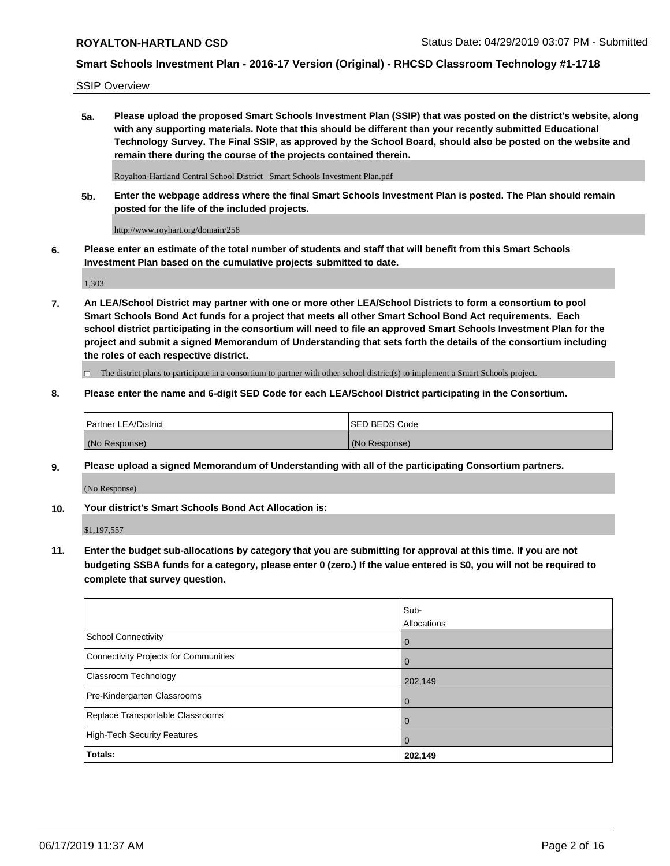SSIP Overview

**5a. Please upload the proposed Smart Schools Investment Plan (SSIP) that was posted on the district's website, along with any supporting materials. Note that this should be different than your recently submitted Educational Technology Survey. The Final SSIP, as approved by the School Board, should also be posted on the website and remain there during the course of the projects contained therein.**

Royalton-Hartland Central School District\_ Smart Schools Investment Plan.pdf

**5b. Enter the webpage address where the final Smart Schools Investment Plan is posted. The Plan should remain posted for the life of the included projects.**

http://www.royhart.org/domain/258

**6. Please enter an estimate of the total number of students and staff that will benefit from this Smart Schools Investment Plan based on the cumulative projects submitted to date.**

1,303

**7. An LEA/School District may partner with one or more other LEA/School Districts to form a consortium to pool Smart Schools Bond Act funds for a project that meets all other Smart School Bond Act requirements. Each school district participating in the consortium will need to file an approved Smart Schools Investment Plan for the project and submit a signed Memorandum of Understanding that sets forth the details of the consortium including the roles of each respective district.**

 $\Box$  The district plans to participate in a consortium to partner with other school district(s) to implement a Smart Schools project.

### **8. Please enter the name and 6-digit SED Code for each LEA/School District participating in the Consortium.**

| Partner LEA/District | <b>ISED BEDS Code</b> |
|----------------------|-----------------------|
| (No Response)        | (No Response)         |

### **9. Please upload a signed Memorandum of Understanding with all of the participating Consortium partners.**

(No Response)

**10. Your district's Smart Schools Bond Act Allocation is:**

\$1,197,557

**11. Enter the budget sub-allocations by category that you are submitting for approval at this time. If you are not budgeting SSBA funds for a category, please enter 0 (zero.) If the value entered is \$0, you will not be required to complete that survey question.**

|                                       | Sub-<br><b>Allocations</b> |
|---------------------------------------|----------------------------|
| School Connectivity                   | l 0                        |
| Connectivity Projects for Communities | $\Omega$                   |
| <b>Classroom Technology</b>           | 202,149                    |
| Pre-Kindergarten Classrooms           | $\overline{0}$             |
| Replace Transportable Classrooms      | $\Omega$                   |
| High-Tech Security Features           | 0                          |
| Totals:                               | 202,149                    |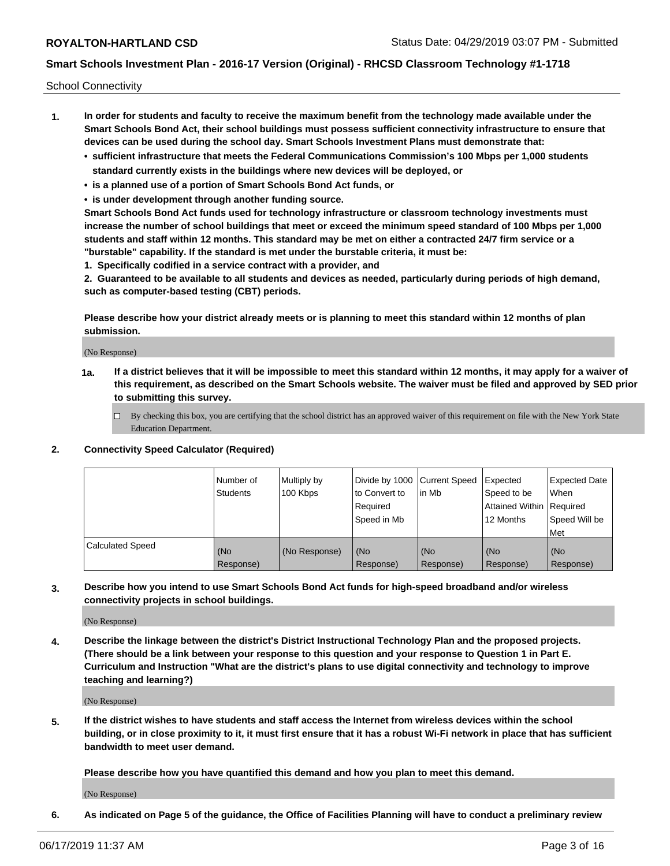School Connectivity

- **1. In order for students and faculty to receive the maximum benefit from the technology made available under the Smart Schools Bond Act, their school buildings must possess sufficient connectivity infrastructure to ensure that devices can be used during the school day. Smart Schools Investment Plans must demonstrate that:**
	- **• sufficient infrastructure that meets the Federal Communications Commission's 100 Mbps per 1,000 students standard currently exists in the buildings where new devices will be deployed, or**
	- **• is a planned use of a portion of Smart Schools Bond Act funds, or**
	- **• is under development through another funding source.**

**Smart Schools Bond Act funds used for technology infrastructure or classroom technology investments must increase the number of school buildings that meet or exceed the minimum speed standard of 100 Mbps per 1,000 students and staff within 12 months. This standard may be met on either a contracted 24/7 firm service or a "burstable" capability. If the standard is met under the burstable criteria, it must be:**

**1. Specifically codified in a service contract with a provider, and**

**2. Guaranteed to be available to all students and devices as needed, particularly during periods of high demand, such as computer-based testing (CBT) periods.**

**Please describe how your district already meets or is planning to meet this standard within 12 months of plan submission.**

(No Response)

**1a. If a district believes that it will be impossible to meet this standard within 12 months, it may apply for a waiver of this requirement, as described on the Smart Schools website. The waiver must be filed and approved by SED prior to submitting this survey.**

 $\Box$  By checking this box, you are certifying that the school district has an approved waiver of this requirement on file with the New York State Education Department.

### **2. Connectivity Speed Calculator (Required)**

|                         | Number of<br>Students | Multiply by<br>100 Kbps | Divide by 1000 Current Speed<br>to Convert to<br>Required<br>Speed in Mb | l in Mb          | Expected<br>Speed to be<br>Attained Within   Required<br>12 Months | <b>Expected Date</b><br>When<br>Speed Will be<br><b>Met</b> |
|-------------------------|-----------------------|-------------------------|--------------------------------------------------------------------------|------------------|--------------------------------------------------------------------|-------------------------------------------------------------|
| <b>Calculated Speed</b> | (No<br>Response)      | (No Response)           | (No<br>Response)                                                         | (No<br>Response) | (No<br>Response)                                                   | (No<br>Response)                                            |

**3. Describe how you intend to use Smart Schools Bond Act funds for high-speed broadband and/or wireless connectivity projects in school buildings.**

(No Response)

**4. Describe the linkage between the district's District Instructional Technology Plan and the proposed projects. (There should be a link between your response to this question and your response to Question 1 in Part E. Curriculum and Instruction "What are the district's plans to use digital connectivity and technology to improve teaching and learning?)**

(No Response)

**5. If the district wishes to have students and staff access the Internet from wireless devices within the school building, or in close proximity to it, it must first ensure that it has a robust Wi-Fi network in place that has sufficient bandwidth to meet user demand.**

**Please describe how you have quantified this demand and how you plan to meet this demand.**

(No Response)

**6. As indicated on Page 5 of the guidance, the Office of Facilities Planning will have to conduct a preliminary review**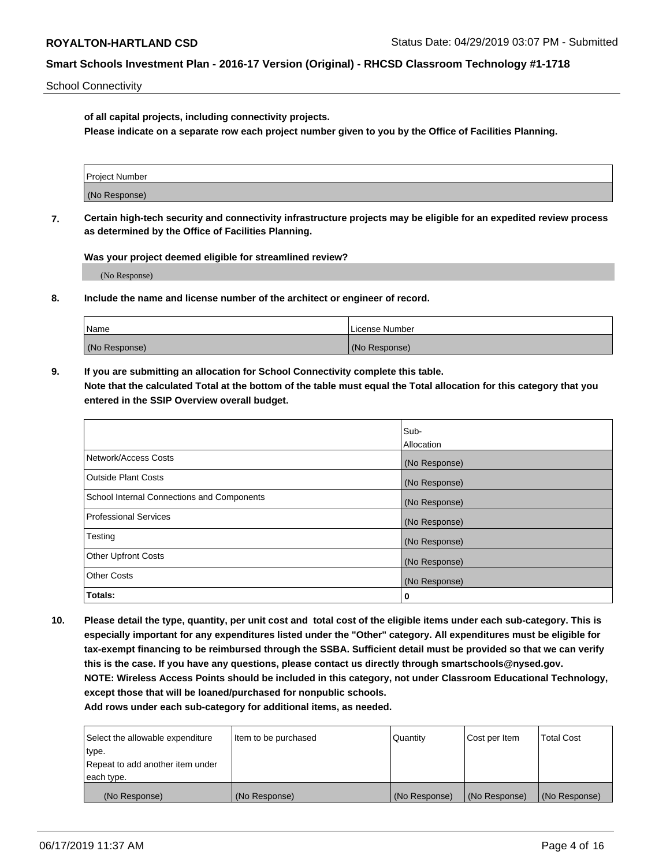School Connectivity

**of all capital projects, including connectivity projects.**

**Please indicate on a separate row each project number given to you by the Office of Facilities Planning.**

| Project Number |  |
|----------------|--|
|                |  |
| (No Response)  |  |
|                |  |

**7. Certain high-tech security and connectivity infrastructure projects may be eligible for an expedited review process as determined by the Office of Facilities Planning.**

**Was your project deemed eligible for streamlined review?**

(No Response)

**8. Include the name and license number of the architect or engineer of record.**

| Name          | License Number |
|---------------|----------------|
| (No Response) | (No Response)  |

**9. If you are submitting an allocation for School Connectivity complete this table. Note that the calculated Total at the bottom of the table must equal the Total allocation for this category that you entered in the SSIP Overview overall budget.** 

|                                            | Sub-              |
|--------------------------------------------|-------------------|
|                                            | <b>Allocation</b> |
| Network/Access Costs                       | (No Response)     |
| <b>Outside Plant Costs</b>                 | (No Response)     |
| School Internal Connections and Components | (No Response)     |
| <b>Professional Services</b>               | (No Response)     |
| Testing                                    | (No Response)     |
| <b>Other Upfront Costs</b>                 | (No Response)     |
| <b>Other Costs</b>                         | (No Response)     |
| Totals:                                    | 0                 |

**10. Please detail the type, quantity, per unit cost and total cost of the eligible items under each sub-category. This is especially important for any expenditures listed under the "Other" category. All expenditures must be eligible for tax-exempt financing to be reimbursed through the SSBA. Sufficient detail must be provided so that we can verify this is the case. If you have any questions, please contact us directly through smartschools@nysed.gov. NOTE: Wireless Access Points should be included in this category, not under Classroom Educational Technology, except those that will be loaned/purchased for nonpublic schools.**

| Select the allowable expenditure | Item to be purchased | Quantity      | <b>Cost per Item</b> | <b>Total Cost</b> |
|----------------------------------|----------------------|---------------|----------------------|-------------------|
| type.                            |                      |               |                      |                   |
| Repeat to add another item under |                      |               |                      |                   |
| each type.                       |                      |               |                      |                   |
| (No Response)                    | (No Response)        | (No Response) | (No Response)        | (No Response)     |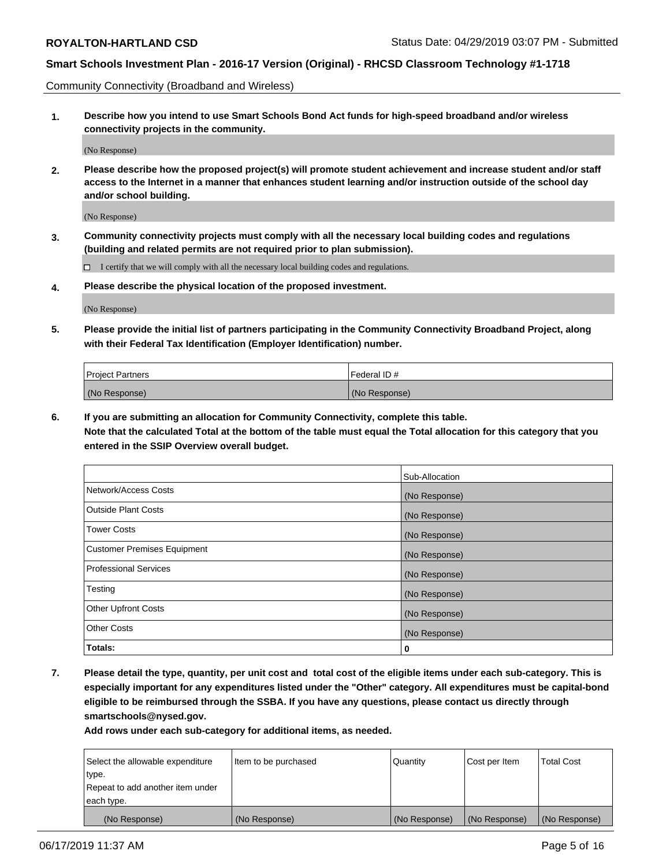Community Connectivity (Broadband and Wireless)

**1. Describe how you intend to use Smart Schools Bond Act funds for high-speed broadband and/or wireless connectivity projects in the community.**

(No Response)

**2. Please describe how the proposed project(s) will promote student achievement and increase student and/or staff access to the Internet in a manner that enhances student learning and/or instruction outside of the school day and/or school building.**

(No Response)

**3. Community connectivity projects must comply with all the necessary local building codes and regulations (building and related permits are not required prior to plan submission).**

 $\Box$  I certify that we will comply with all the necessary local building codes and regulations.

**4. Please describe the physical location of the proposed investment.**

(No Response)

**5. Please provide the initial list of partners participating in the Community Connectivity Broadband Project, along with their Federal Tax Identification (Employer Identification) number.**

| <b>Project Partners</b> | Federal ID#   |
|-------------------------|---------------|
| (No Response)           | (No Response) |

**6. If you are submitting an allocation for Community Connectivity, complete this table.**

**Note that the calculated Total at the bottom of the table must equal the Total allocation for this category that you entered in the SSIP Overview overall budget.**

|                                    | Sub-Allocation |
|------------------------------------|----------------|
| Network/Access Costs               | (No Response)  |
| Outside Plant Costs                | (No Response)  |
| <b>Tower Costs</b>                 | (No Response)  |
| <b>Customer Premises Equipment</b> | (No Response)  |
| Professional Services              | (No Response)  |
| Testing                            | (No Response)  |
| <b>Other Upfront Costs</b>         | (No Response)  |
| <b>Other Costs</b>                 | (No Response)  |
| Totals:                            | 0              |

**7. Please detail the type, quantity, per unit cost and total cost of the eligible items under each sub-category. This is especially important for any expenditures listed under the "Other" category. All expenditures must be capital-bond eligible to be reimbursed through the SSBA. If you have any questions, please contact us directly through smartschools@nysed.gov.**

| Select the allowable expenditure<br>type. | Item to be purchased | Quantity      | Cost per Item | <b>Total Cost</b> |
|-------------------------------------------|----------------------|---------------|---------------|-------------------|
| Repeat to add another item under          |                      |               |               |                   |
| each type.                                |                      |               |               |                   |
| (No Response)                             | (No Response)        | (No Response) | (No Response) | (No Response)     |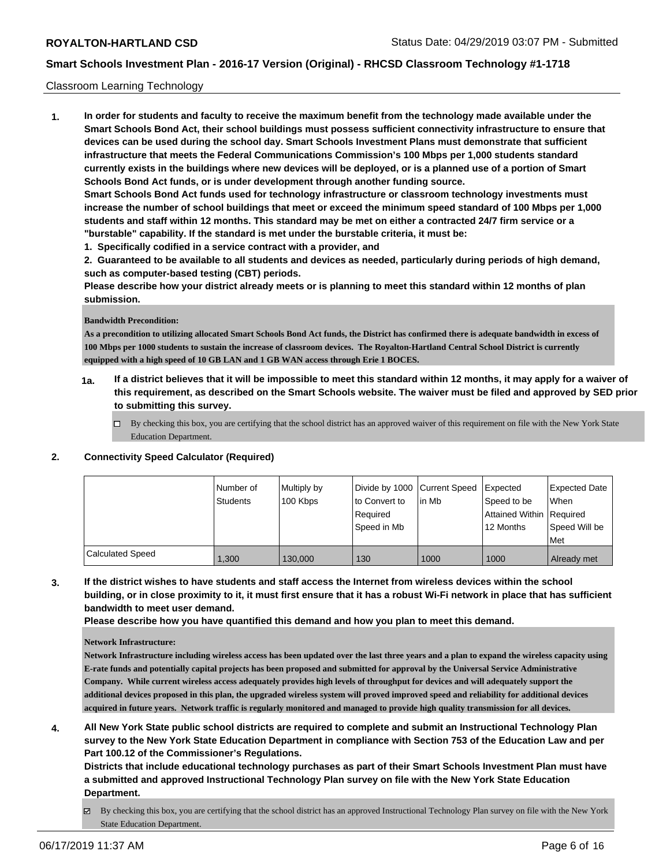### Classroom Learning Technology

**1. In order for students and faculty to receive the maximum benefit from the technology made available under the Smart Schools Bond Act, their school buildings must possess sufficient connectivity infrastructure to ensure that devices can be used during the school day. Smart Schools Investment Plans must demonstrate that sufficient infrastructure that meets the Federal Communications Commission's 100 Mbps per 1,000 students standard currently exists in the buildings where new devices will be deployed, or is a planned use of a portion of Smart Schools Bond Act funds, or is under development through another funding source. Smart Schools Bond Act funds used for technology infrastructure or classroom technology investments must**

**increase the number of school buildings that meet or exceed the minimum speed standard of 100 Mbps per 1,000 students and staff within 12 months. This standard may be met on either a contracted 24/7 firm service or a "burstable" capability. If the standard is met under the burstable criteria, it must be:**

**1. Specifically codified in a service contract with a provider, and**

**2. Guaranteed to be available to all students and devices as needed, particularly during periods of high demand, such as computer-based testing (CBT) periods.**

**Please describe how your district already meets or is planning to meet this standard within 12 months of plan submission.**

#### **Bandwidth Precondition:**

**As a precondition to utilizing allocated Smart Schools Bond Act funds, the District has confirmed there is adequate bandwidth in excess of 100 Mbps per 1000 students to sustain the increase of classroom devices. The Royalton-Hartland Central School District is currently equipped with a high speed of 10 GB LAN and 1 GB WAN access through Erie 1 BOCES.**

- **1a. If a district believes that it will be impossible to meet this standard within 12 months, it may apply for a waiver of this requirement, as described on the Smart Schools website. The waiver must be filed and approved by SED prior to submitting this survey.**
	- □ By checking this box, you are certifying that the school district has an approved waiver of this requirement on file with the New York State Education Department.

### **2. Connectivity Speed Calculator (Required)**

|                         | l Number of<br><b>Students</b> | Multiply by<br>100 Kbps | Divide by 1000 Current Speed<br>to Convert to<br>Required<br>Speed in Mb | l in Mb | Expected<br>Speed to be<br>Attained Within Required<br>12 Months | <b>Expected Date</b><br><b>When</b><br>Speed Will be<br>Met |
|-------------------------|--------------------------------|-------------------------|--------------------------------------------------------------------------|---------|------------------------------------------------------------------|-------------------------------------------------------------|
| <b>Calculated Speed</b> | 1.300                          | 130,000                 | 130                                                                      | 1000    | 1000                                                             | Already met                                                 |

**3. If the district wishes to have students and staff access the Internet from wireless devices within the school building, or in close proximity to it, it must first ensure that it has a robust Wi-Fi network in place that has sufficient bandwidth to meet user demand.**

**Please describe how you have quantified this demand and how you plan to meet this demand.**

#### **Network Infrastructure:**

**Network Infrastructure including wireless access has been updated over the last three years and a plan to expand the wireless capacity using E-rate funds and potentially capital projects has been proposed and submitted for approval by the Universal Service Administrative Company. While current wireless access adequately provides high levels of throughput for devices and will adequately support the additional devices proposed in this plan, the upgraded wireless system will proved improved speed and reliability for additional devices acquired in future years. Network traffic is regularly monitored and managed to provide high quality transmission for all devices.**

**4. All New York State public school districts are required to complete and submit an Instructional Technology Plan survey to the New York State Education Department in compliance with Section 753 of the Education Law and per Part 100.12 of the Commissioner's Regulations.**

**Districts that include educational technology purchases as part of their Smart Schools Investment Plan must have a submitted and approved Instructional Technology Plan survey on file with the New York State Education Department.**

By checking this box, you are certifying that the school district has an approved Instructional Technology Plan survey on file with the New York State Education Department.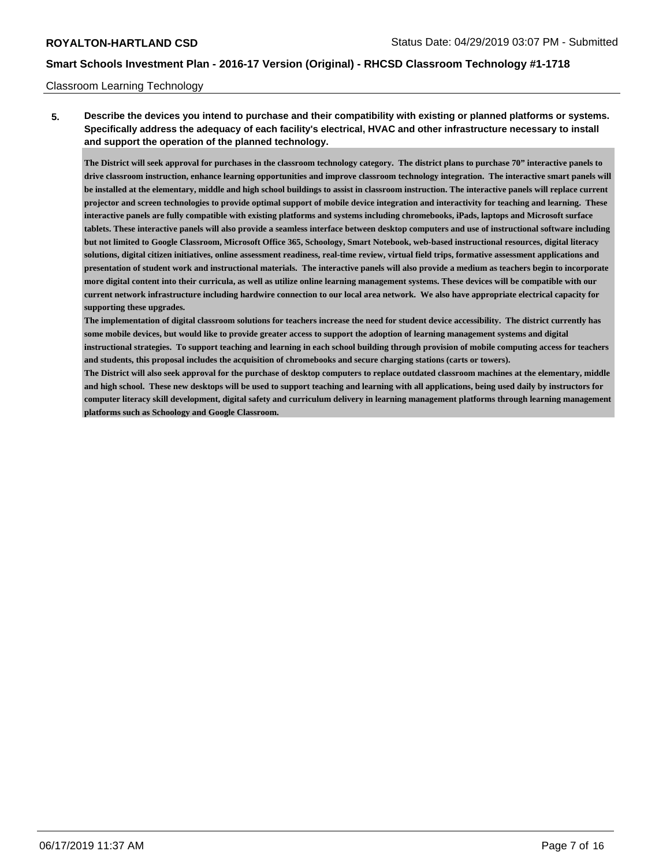### Classroom Learning Technology

**5. Describe the devices you intend to purchase and their compatibility with existing or planned platforms or systems. Specifically address the adequacy of each facility's electrical, HVAC and other infrastructure necessary to install and support the operation of the planned technology.**

**The District will seek approval for purchases in the classroom technology category. The district plans to purchase 70" interactive panels to drive classroom instruction, enhance learning opportunities and improve classroom technology integration. The interactive smart panels will be installed at the elementary, middle and high school buildings to assist in classroom instruction. The interactive panels will replace current projector and screen technologies to provide optimal support of mobile device integration and interactivity for teaching and learning. These interactive panels are fully compatible with existing platforms and systems including chromebooks, iPads, laptops and Microsoft surface tablets. These interactive panels will also provide a seamless interface between desktop computers and use of instructional software including but not limited to Google Classroom, Microsoft Office 365, Schoology, Smart Notebook, web-based instructional resources, digital literacy solutions, digital citizen initiatives, online assessment readiness, real-time review, virtual field trips, formative assessment applications and presentation of student work and instructional materials. The interactive panels will also provide a medium as teachers begin to incorporate more digital content into their curricula, as well as utilize online learning management systems. These devices will be compatible with our current network infrastructure including hardwire connection to our local area network. We also have appropriate electrical capacity for supporting these upgrades.**

**The implementation of digital classroom solutions for teachers increase the need for student device accessibility. The district currently has some mobile devices, but would like to provide greater access to support the adoption of learning management systems and digital instructional strategies. To support teaching and learning in each school building through provision of mobile computing access for teachers and students, this proposal includes the acquisition of chromebooks and secure charging stations (carts or towers).**

**The District will also seek approval for the purchase of desktop computers to replace outdated classroom machines at the elementary, middle and high school. These new desktops will be used to support teaching and learning with all applications, being used daily by instructors for computer literacy skill development, digital safety and curriculum delivery in learning management platforms through learning management platforms such as Schoology and Google Classroom.**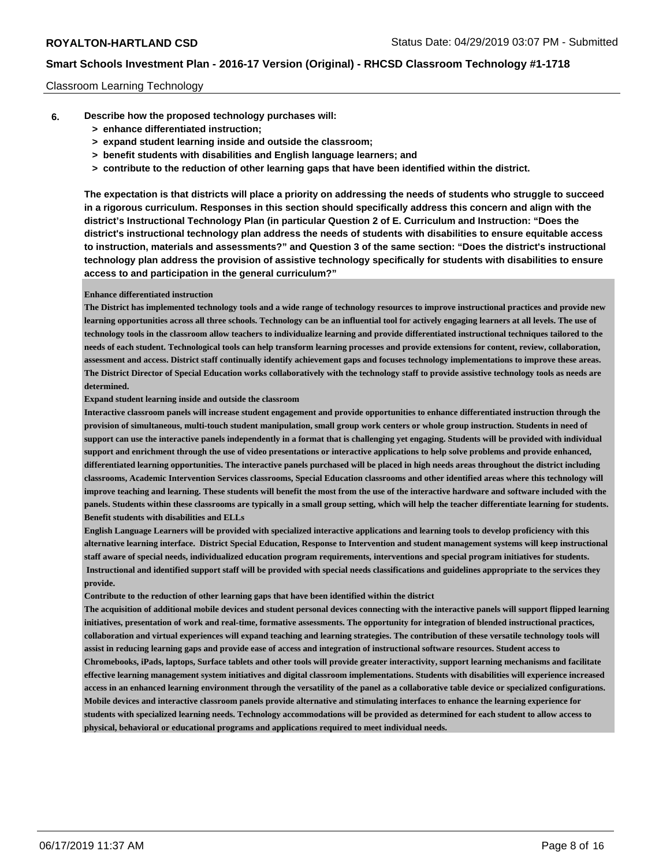### Classroom Learning Technology

- **6. Describe how the proposed technology purchases will:**
	- **> enhance differentiated instruction;**
	- **> expand student learning inside and outside the classroom;**
	- **> benefit students with disabilities and English language learners; and**
	- **> contribute to the reduction of other learning gaps that have been identified within the district.**

**The expectation is that districts will place a priority on addressing the needs of students who struggle to succeed in a rigorous curriculum. Responses in this section should specifically address this concern and align with the district's Instructional Technology Plan (in particular Question 2 of E. Curriculum and Instruction: "Does the district's instructional technology plan address the needs of students with disabilities to ensure equitable access to instruction, materials and assessments?" and Question 3 of the same section: "Does the district's instructional technology plan address the provision of assistive technology specifically for students with disabilities to ensure access to and participation in the general curriculum?"**

#### **Enhance differentiated instruction**

**The District has implemented technology tools and a wide range of technology resources to improve instructional practices and provide new learning opportunities across all three schools. Technology can be an influential tool for actively engaging learners at all levels. The use of technology tools in the classroom allow teachers to individualize learning and provide differentiated instructional techniques tailored to the needs of each student. Technological tools can help transform learning processes and provide extensions for content, review, collaboration, assessment and access. District staff continually identify achievement gaps and focuses technology implementations to improve these areas. The District Director of Special Education works collaboratively with the technology staff to provide assistive technology tools as needs are determined.**

#### **Expand student learning inside and outside the classroom**

**Interactive classroom panels will increase student engagement and provide opportunities to enhance differentiated instruction through the provision of simultaneous, multi-touch student manipulation, small group work centers or whole group instruction. Students in need of support can use the interactive panels independently in a format that is challenging yet engaging. Students will be provided with individual support and enrichment through the use of video presentations or interactive applications to help solve problems and provide enhanced, differentiated learning opportunities. The interactive panels purchased will be placed in high needs areas throughout the district including classrooms, Academic Intervention Services classrooms, Special Education classrooms and other identified areas where this technology will improve teaching and learning. These students will benefit the most from the use of the interactive hardware and software included with the panels. Students within these classrooms are typically in a small group setting, which will help the teacher differentiate learning for students. Benefit students with disabilities and ELLs**

**English Language Learners will be provided with specialized interactive applications and learning tools to develop proficiency with this alternative learning interface. District Special Education, Response to Intervention and student management systems will keep instructional staff aware of special needs, individualized education program requirements, interventions and special program initiatives for students. Instructional and identified support staff will be provided with special needs classifications and guidelines appropriate to the services they provide.**

**Contribute to the reduction of other learning gaps that have been identified within the district**

**The acquisition of additional mobile devices and student personal devices connecting with the interactive panels will support flipped learning initiatives, presentation of work and real-time, formative assessments. The opportunity for integration of blended instructional practices, collaboration and virtual experiences will expand teaching and learning strategies. The contribution of these versatile technology tools will assist in reducing learning gaps and provide ease of access and integration of instructional software resources. Student access to Chromebooks, iPads, laptops, Surface tablets and other tools will provide greater interactivity, support learning mechanisms and facilitate effective learning management system initiatives and digital classroom implementations. Students with disabilities will experience increased access in an enhanced learning environment through the versatility of the panel as a collaborative table device or specialized configurations. Mobile devices and interactive classroom panels provide alternative and stimulating interfaces to enhance the learning experience for students with specialized learning needs. Technology accommodations will be provided as determined for each student to allow access to physical, behavioral or educational programs and applications required to meet individual needs.**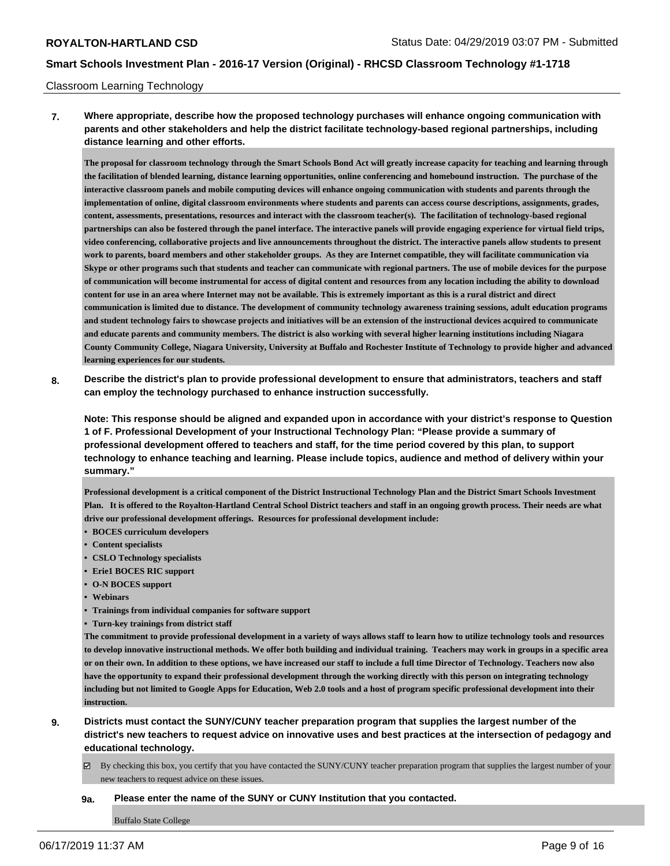#### Classroom Learning Technology

**7. Where appropriate, describe how the proposed technology purchases will enhance ongoing communication with parents and other stakeholders and help the district facilitate technology-based regional partnerships, including distance learning and other efforts.**

**The proposal for classroom technology through the Smart Schools Bond Act will greatly increase capacity for teaching and learning through the facilitation of blended learning, distance learning opportunities, online conferencing and homebound instruction. The purchase of the interactive classroom panels and mobile computing devices will enhance ongoing communication with students and parents through the implementation of online, digital classroom environments where students and parents can access course descriptions, assignments, grades, content, assessments, presentations, resources and interact with the classroom teacher(s). The facilitation of technology-based regional partnerships can also be fostered through the panel interface. The interactive panels will provide engaging experience for virtual field trips, video conferencing, collaborative projects and live announcements throughout the district. The interactive panels allow students to present work to parents, board members and other stakeholder groups. As they are Internet compatible, they will facilitate communication via Skype or other programs such that students and teacher can communicate with regional partners. The use of mobile devices for the purpose of communication will become instrumental for access of digital content and resources from any location including the ability to download content for use in an area where Internet may not be available. This is extremely important as this is a rural district and direct communication is limited due to distance. The development of community technology awareness training sessions, adult education programs and student technology fairs to showcase projects and initiatives will be an extension of the instructional devices acquired to communicate and educate parents and community members. The district is also working with several higher learning institutions including Niagara County Community College, Niagara University, University at Buffalo and Rochester Institute of Technology to provide higher and advanced learning experiences for our students.**

**8. Describe the district's plan to provide professional development to ensure that administrators, teachers and staff can employ the technology purchased to enhance instruction successfully.**

**Note: This response should be aligned and expanded upon in accordance with your district's response to Question 1 of F. Professional Development of your Instructional Technology Plan: "Please provide a summary of professional development offered to teachers and staff, for the time period covered by this plan, to support technology to enhance teaching and learning. Please include topics, audience and method of delivery within your summary."**

**Professional development is a critical component of the District Instructional Technology Plan and the District Smart Schools Investment Plan. It is offered to the Royalton-Hartland Central School District teachers and staff in an ongoing growth process. Their needs are what drive our professional development offerings. Resources for professional development include:**

- **• BOCES curriculum developers**
- **• Content specialists**
- **• CSLO Technology specialists**
- **• Erie1 BOCES RIC support**
- **• O-N BOCES support**
- **• Webinars**
- **• Trainings from individual companies for software support**
- **• Turn-key trainings from district staff**

**The commitment to provide professional development in a variety of ways allows staff to learn how to utilize technology tools and resources to develop innovative instructional methods. We offer both building and individual training. Teachers may work in groups in a specific area or on their own. In addition to these options, we have increased our staff to include a full time Director of Technology. Teachers now also have the opportunity to expand their professional development through the working directly with this person on integrating technology including but not limited to Google Apps for Education, Web 2.0 tools and a host of program specific professional development into their instruction.**

- **9. Districts must contact the SUNY/CUNY teacher preparation program that supplies the largest number of the district's new teachers to request advice on innovative uses and best practices at the intersection of pedagogy and educational technology.**
	- $\boxtimes$  By checking this box, you certify that you have contacted the SUNY/CUNY teacher preparation program that supplies the largest number of your new teachers to request advice on these issues.

#### **9a. Please enter the name of the SUNY or CUNY Institution that you contacted.**

Buffalo State College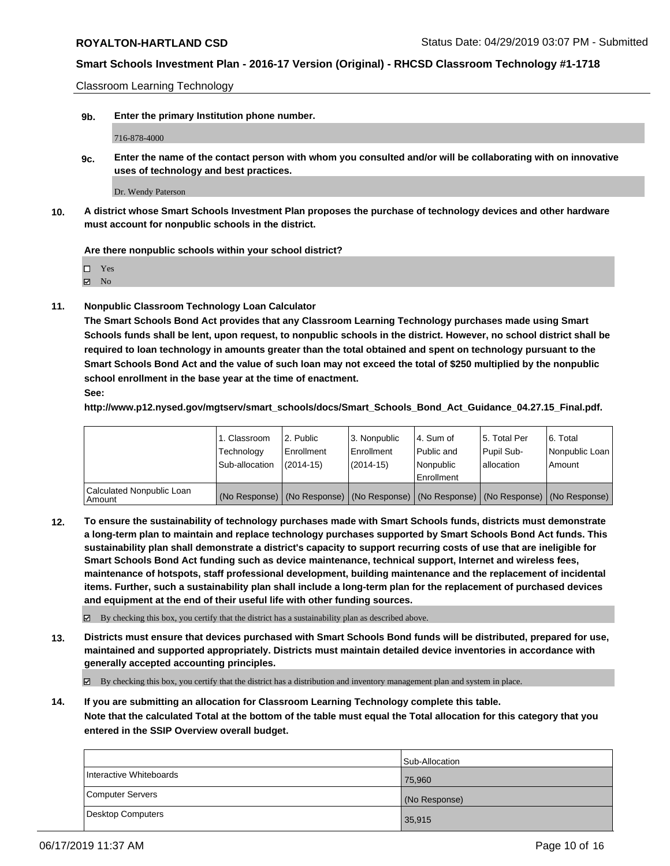Classroom Learning Technology

**9b. Enter the primary Institution phone number.**

716-878-4000

**9c. Enter the name of the contact person with whom you consulted and/or will be collaborating with on innovative uses of technology and best practices.**

Dr. Wendy Paterson

**10. A district whose Smart Schools Investment Plan proposes the purchase of technology devices and other hardware must account for nonpublic schools in the district.**

**Are there nonpublic schools within your school district?**

Yes

**Z** No

**11. Nonpublic Classroom Technology Loan Calculator**

**The Smart Schools Bond Act provides that any Classroom Learning Technology purchases made using Smart Schools funds shall be lent, upon request, to nonpublic schools in the district. However, no school district shall be required to loan technology in amounts greater than the total obtained and spent on technology pursuant to the Smart Schools Bond Act and the value of such loan may not exceed the total of \$250 multiplied by the nonpublic school enrollment in the base year at the time of enactment. See:**

**http://www.p12.nysed.gov/mgtserv/smart\_schools/docs/Smart\_Schools\_Bond\_Act\_Guidance\_04.27.15\_Final.pdf.**

|                                       | 1. Classroom<br>Technology<br>Sub-allocation | l 2. Public<br>Enrollment<br>$(2014-15)$ | 3. Nonpublic<br>Enrollment<br>$(2014-15)$ | l 4. Sum of<br>Public and<br>Nonpublic<br>Enrollment                                          | l 5. Total Per<br>Pupil Sub-<br>allocation | l 6. Total<br>Nonpublic Loan<br>Amount |
|---------------------------------------|----------------------------------------------|------------------------------------------|-------------------------------------------|-----------------------------------------------------------------------------------------------|--------------------------------------------|----------------------------------------|
| Calculated Nonpublic Loan<br>l Amount |                                              |                                          |                                           | (No Response)   (No Response)   (No Response)   (No Response)   (No Response)   (No Response) |                                            |                                        |

**12. To ensure the sustainability of technology purchases made with Smart Schools funds, districts must demonstrate a long-term plan to maintain and replace technology purchases supported by Smart Schools Bond Act funds. This sustainability plan shall demonstrate a district's capacity to support recurring costs of use that are ineligible for Smart Schools Bond Act funding such as device maintenance, technical support, Internet and wireless fees, maintenance of hotspots, staff professional development, building maintenance and the replacement of incidental items. Further, such a sustainability plan shall include a long-term plan for the replacement of purchased devices and equipment at the end of their useful life with other funding sources.**

By checking this box, you certify that the district has a sustainability plan as described above.

**13. Districts must ensure that devices purchased with Smart Schools Bond funds will be distributed, prepared for use, maintained and supported appropriately. Districts must maintain detailed device inventories in accordance with generally accepted accounting principles.**

By checking this box, you certify that the district has a distribution and inventory management plan and system in place.

**14. If you are submitting an allocation for Classroom Learning Technology complete this table. Note that the calculated Total at the bottom of the table must equal the Total allocation for this category that you entered in the SSIP Overview overall budget.**

|                         | Sub-Allocation |
|-------------------------|----------------|
| Interactive Whiteboards | 75,960         |
| Computer Servers        | (No Response)  |
| Desktop Computers       | 35,915         |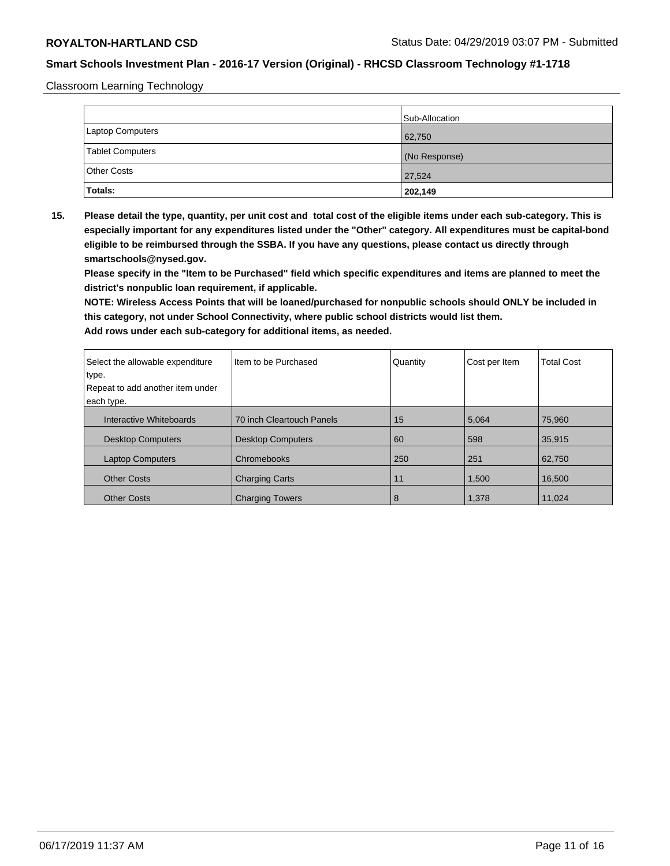Classroom Learning Technology

|                         | Sub-Allocation |
|-------------------------|----------------|
| Laptop Computers        | 62,750         |
| <b>Tablet Computers</b> | (No Response)  |
| <b>Other Costs</b>      | 27,524         |
| Totals:                 | 202,149        |

**15. Please detail the type, quantity, per unit cost and total cost of the eligible items under each sub-category. This is especially important for any expenditures listed under the "Other" category. All expenditures must be capital-bond eligible to be reimbursed through the SSBA. If you have any questions, please contact us directly through smartschools@nysed.gov.**

**Please specify in the "Item to be Purchased" field which specific expenditures and items are planned to meet the district's nonpublic loan requirement, if applicable.**

**NOTE: Wireless Access Points that will be loaned/purchased for nonpublic schools should ONLY be included in this category, not under School Connectivity, where public school districts would list them.**

| Select the allowable expenditure<br>type. | Item to be Purchased      | Quantity | Cost per Item | <b>Total Cost</b> |
|-------------------------------------------|---------------------------|----------|---------------|-------------------|
| Repeat to add another item under          |                           |          |               |                   |
| each type.                                |                           |          |               |                   |
| Interactive Whiteboards                   | 70 inch Cleartouch Panels | 15       | 5,064         | 75,960            |
| <b>Desktop Computers</b>                  | <b>Desktop Computers</b>  | 60       | 598           | 35,915            |
| <b>Laptop Computers</b>                   | Chromebooks               | 250      | 251           | 62,750            |
| <b>Other Costs</b>                        | <b>Charging Carts</b>     | 11       | 1,500         | 16.500            |
| <b>Other Costs</b>                        | <b>Charging Towers</b>    | 8        | 1,378         | 11,024            |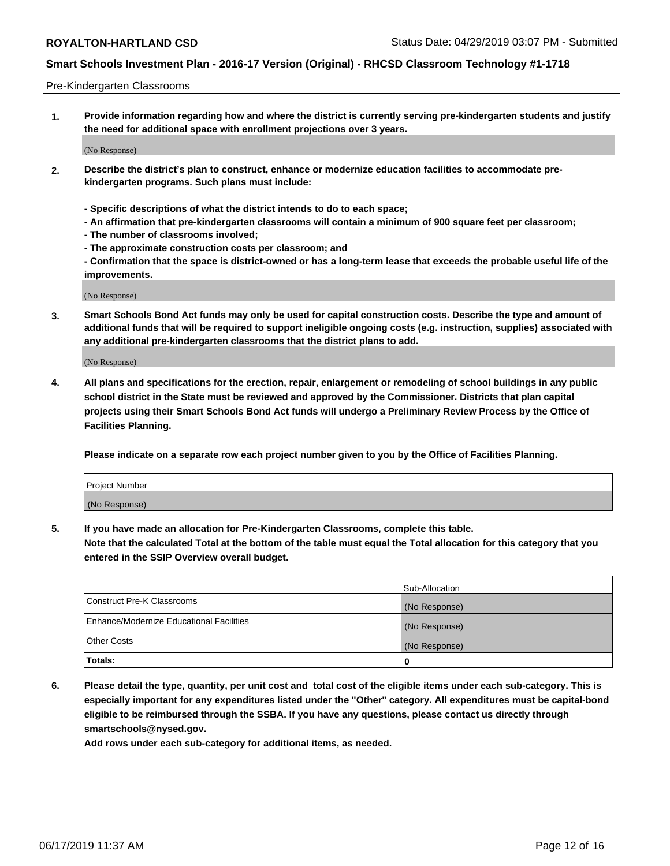### Pre-Kindergarten Classrooms

**1. Provide information regarding how and where the district is currently serving pre-kindergarten students and justify the need for additional space with enrollment projections over 3 years.**

(No Response)

- **2. Describe the district's plan to construct, enhance or modernize education facilities to accommodate prekindergarten programs. Such plans must include:**
	- **Specific descriptions of what the district intends to do to each space;**
	- **An affirmation that pre-kindergarten classrooms will contain a minimum of 900 square feet per classroom;**
	- **The number of classrooms involved;**
	- **The approximate construction costs per classroom; and**
	- **Confirmation that the space is district-owned or has a long-term lease that exceeds the probable useful life of the improvements.**

(No Response)

**3. Smart Schools Bond Act funds may only be used for capital construction costs. Describe the type and amount of additional funds that will be required to support ineligible ongoing costs (e.g. instruction, supplies) associated with any additional pre-kindergarten classrooms that the district plans to add.**

(No Response)

**4. All plans and specifications for the erection, repair, enlargement or remodeling of school buildings in any public school district in the State must be reviewed and approved by the Commissioner. Districts that plan capital projects using their Smart Schools Bond Act funds will undergo a Preliminary Review Process by the Office of Facilities Planning.**

**Please indicate on a separate row each project number given to you by the Office of Facilities Planning.**

| Project Number |  |
|----------------|--|
| (No Response)  |  |
|                |  |

**5. If you have made an allocation for Pre-Kindergarten Classrooms, complete this table.**

**Note that the calculated Total at the bottom of the table must equal the Total allocation for this category that you entered in the SSIP Overview overall budget.**

|                                          | Sub-Allocation |
|------------------------------------------|----------------|
| Construct Pre-K Classrooms               | (No Response)  |
| Enhance/Modernize Educational Facilities | (No Response)  |
| <b>Other Costs</b>                       | (No Response)  |
| Totals:                                  | 0              |

**6. Please detail the type, quantity, per unit cost and total cost of the eligible items under each sub-category. This is especially important for any expenditures listed under the "Other" category. All expenditures must be capital-bond eligible to be reimbursed through the SSBA. If you have any questions, please contact us directly through smartschools@nysed.gov.**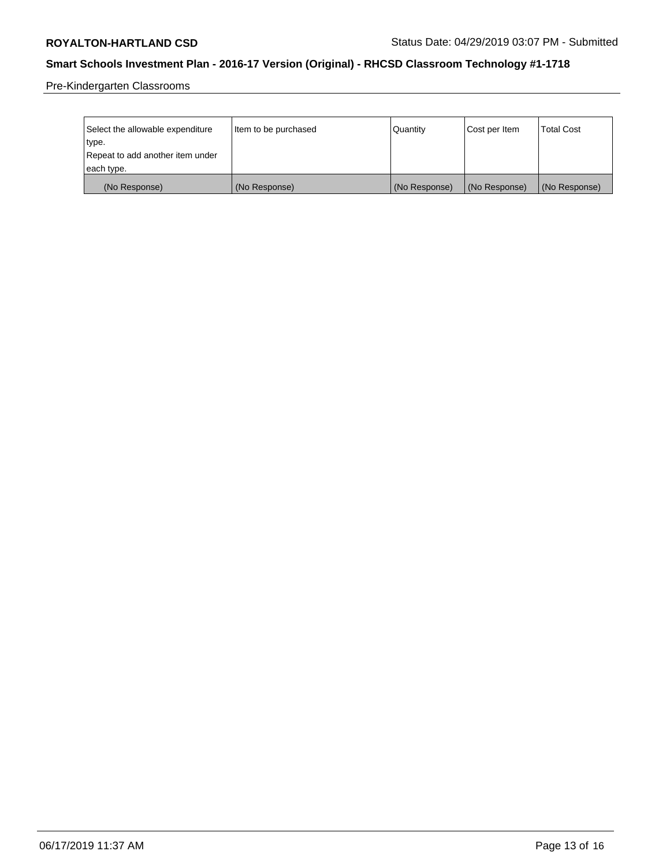Pre-Kindergarten Classrooms

| Select the allowable expenditure | Item to be purchased | Quantity      | Cost per Item | <b>Total Cost</b> |
|----------------------------------|----------------------|---------------|---------------|-------------------|
| type.                            |                      |               |               |                   |
| Repeat to add another item under |                      |               |               |                   |
| each type.                       |                      |               |               |                   |
| (No Response)                    | (No Response)        | (No Response) | (No Response) | (No Response)     |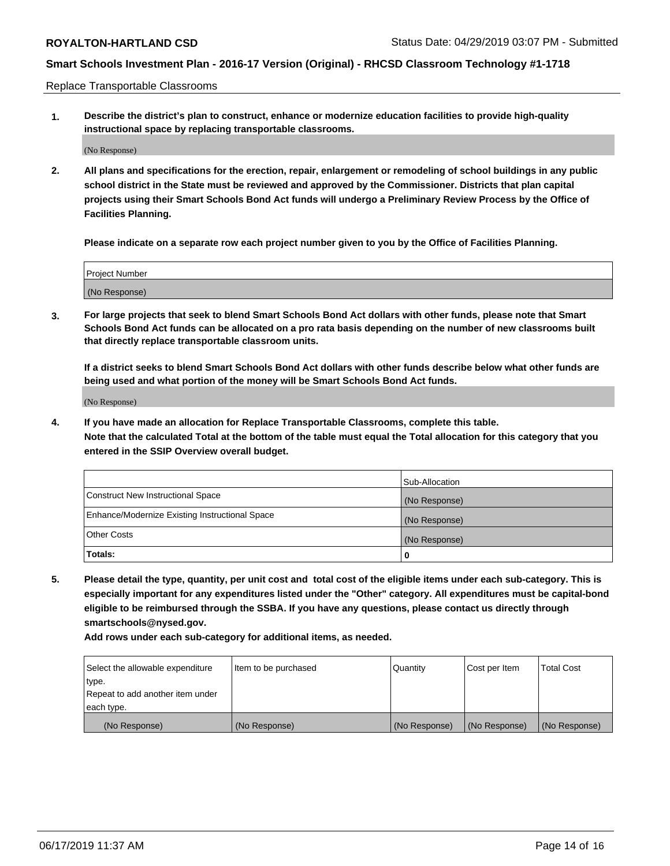Replace Transportable Classrooms

**1. Describe the district's plan to construct, enhance or modernize education facilities to provide high-quality instructional space by replacing transportable classrooms.**

(No Response)

**2. All plans and specifications for the erection, repair, enlargement or remodeling of school buildings in any public school district in the State must be reviewed and approved by the Commissioner. Districts that plan capital projects using their Smart Schools Bond Act funds will undergo a Preliminary Review Process by the Office of Facilities Planning.**

**Please indicate on a separate row each project number given to you by the Office of Facilities Planning.**

| Project Number |  |
|----------------|--|
|                |  |
|                |  |
|                |  |
|                |  |
| (No Response)  |  |
|                |  |
|                |  |
|                |  |

**3. For large projects that seek to blend Smart Schools Bond Act dollars with other funds, please note that Smart Schools Bond Act funds can be allocated on a pro rata basis depending on the number of new classrooms built that directly replace transportable classroom units.**

**If a district seeks to blend Smart Schools Bond Act dollars with other funds describe below what other funds are being used and what portion of the money will be Smart Schools Bond Act funds.**

(No Response)

**4. If you have made an allocation for Replace Transportable Classrooms, complete this table. Note that the calculated Total at the bottom of the table must equal the Total allocation for this category that you entered in the SSIP Overview overall budget.**

|                                                | Sub-Allocation |
|------------------------------------------------|----------------|
| Construct New Instructional Space              | (No Response)  |
| Enhance/Modernize Existing Instructional Space | (No Response)  |
| <b>Other Costs</b>                             | (No Response)  |
| Totals:                                        | 0              |

**5. Please detail the type, quantity, per unit cost and total cost of the eligible items under each sub-category. This is especially important for any expenditures listed under the "Other" category. All expenditures must be capital-bond eligible to be reimbursed through the SSBA. If you have any questions, please contact us directly through smartschools@nysed.gov.**

| Select the allowable expenditure | Item to be purchased | Quantity      | Cost per Item | Total Cost    |
|----------------------------------|----------------------|---------------|---------------|---------------|
| type.                            |                      |               |               |               |
| Repeat to add another item under |                      |               |               |               |
| each type.                       |                      |               |               |               |
| (No Response)                    | (No Response)        | (No Response) | (No Response) | (No Response) |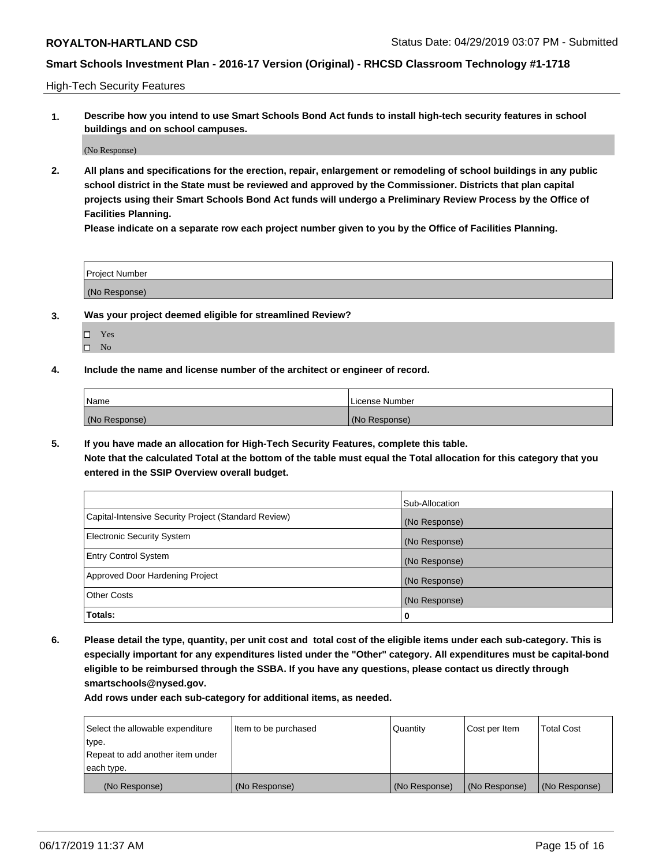High-Tech Security Features

**1. Describe how you intend to use Smart Schools Bond Act funds to install high-tech security features in school buildings and on school campuses.**

(No Response)

**2. All plans and specifications for the erection, repair, enlargement or remodeling of school buildings in any public school district in the State must be reviewed and approved by the Commissioner. Districts that plan capital projects using their Smart Schools Bond Act funds will undergo a Preliminary Review Process by the Office of Facilities Planning.** 

**Please indicate on a separate row each project number given to you by the Office of Facilities Planning.**

| <b>Project Number</b> |  |
|-----------------------|--|
| (No Response)         |  |

- **3. Was your project deemed eligible for streamlined Review?**
	- Yes
	- $\square$  No
- **4. Include the name and license number of the architect or engineer of record.**

| Name          | License Number |
|---------------|----------------|
| (No Response) | (No Response)  |

**5. If you have made an allocation for High-Tech Security Features, complete this table.**

**Note that the calculated Total at the bottom of the table must equal the Total allocation for this category that you entered in the SSIP Overview overall budget.**

|                                                      | Sub-Allocation |
|------------------------------------------------------|----------------|
| Capital-Intensive Security Project (Standard Review) | (No Response)  |
| <b>Electronic Security System</b>                    | (No Response)  |
| <b>Entry Control System</b>                          | (No Response)  |
| Approved Door Hardening Project                      | (No Response)  |
| <b>Other Costs</b>                                   | (No Response)  |
| Totals:                                              | 0              |

**6. Please detail the type, quantity, per unit cost and total cost of the eligible items under each sub-category. This is especially important for any expenditures listed under the "Other" category. All expenditures must be capital-bond eligible to be reimbursed through the SSBA. If you have any questions, please contact us directly through smartschools@nysed.gov.**

| Select the allowable expenditure | Item to be purchased | Quantity      | Cost per Item | <b>Total Cost</b> |
|----------------------------------|----------------------|---------------|---------------|-------------------|
| type.                            |                      |               |               |                   |
| Repeat to add another item under |                      |               |               |                   |
| each type.                       |                      |               |               |                   |
| (No Response)                    | (No Response)        | (No Response) | (No Response) | (No Response)     |